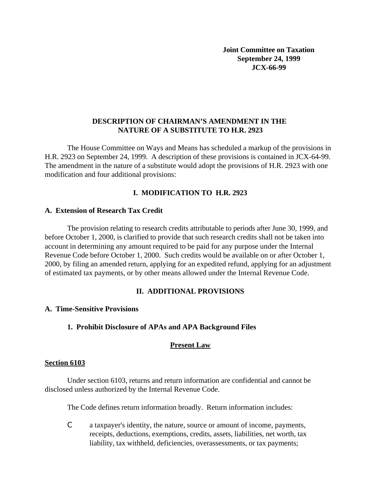### **DESCRIPTION OF CHAIRMAN'S AMENDMENT IN THE NATURE OF A SUBSTITUTE TO H.R. 2923**

The House Committee on Ways and Means has scheduled a markup of the provisions in H.R. 2923 on September 24, 1999. A description of these provisions is contained in JCX-64-99. The amendment in the nature of a substitute would adopt the provisions of H.R. 2923 with one modification and four additional provisions:

# **I. MODIFICATION TO H.R. 2923**

### **A. Extension of Research Tax Credit**

The provision relating to research credits attributable to periods after June 30, 1999, and before October 1, 2000, is clarified to provide that such research credits shall not be taken into account in determining any amount required to be paid for any purpose under the Internal Revenue Code before October 1, 2000. Such credits would be available on or after October 1, 2000, by filing an amended return, applying for an expedited refund, applying for an adjustment of estimated tax payments, or by other means allowed under the Internal Revenue Code.

## **II. ADDITIONAL PROVISIONS**

## **A. Time-Sensitive Provisions**

# **1. Prohibit Disclosure of APAs and APA Background Files**

## **Present Law**

## **Section 6103**

Under section 6103, returns and return information are confidential and cannot be disclosed unless authorized by the Internal Revenue Code.

The Code defines return information broadly. Return information includes:

C a taxpayer's identity, the nature, source or amount of income, payments, receipts, deductions, exemptions, credits, assets, liabilities, net worth, tax liability, tax withheld, deficiencies, overassessments, or tax payments;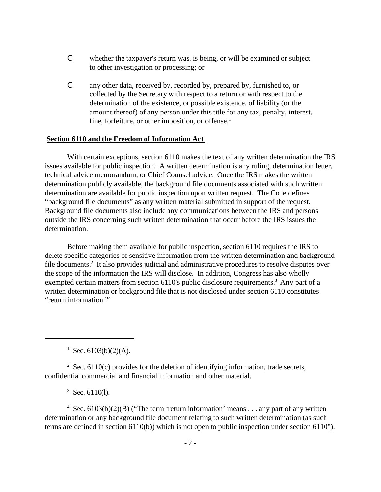- C whether the taxpayer's return was, is being, or will be examined or subject to other investigation or processing; or
- C any other data, received by, recorded by, prepared by, furnished to, or collected by the Secretary with respect to a return or with respect to the determination of the existence, or possible existence, of liability (or the amount thereof) of any person under this title for any tax, penalty, interest, fine, forfeiture, or other imposition, or offense. $<sup>1</sup>$ </sup>

### **Section 6110 and the Freedom of Information Act**

With certain exceptions, section 6110 makes the text of any written determination the IRS issues available for public inspection. A written determination is any ruling, determination letter, technical advice memorandum, or Chief Counsel advice. Once the IRS makes the written determination publicly available, the background file documents associated with such written determination are available for public inspection upon written request. The Code defines "background file documents" as any written material submitted in support of the request. Background file documents also include any communications between the IRS and persons outside the IRS concerning such written determination that occur before the IRS issues the determination.

Before making them available for public inspection, section 6110 requires the IRS to delete specific categories of sensitive information from the written determination and background file documents.<sup>2</sup> It also provides judicial and administrative procedures to resolve disputes over the scope of the information the IRS will disclose. In addition, Congress has also wholly exempted certain matters from section 6110's public disclosure requirements.<sup>3</sup> Any part of a written determination or background file that is not disclosed under section 6110 constitutes "return information."4

<sup>1</sup> Sec. 6103(b)(2)(A).

 $2$  Sec. 6110(c) provides for the deletion of identifying information, trade secrets, confidential commercial and financial information and other material.

 $3$  Sec. 6110(1).

<sup>4</sup> Sec. 6103(b)(2)(B) ("The term 'return information' means . . . any part of any written determination or any background file document relating to such written determination (as such terms are defined in section 6110(b)) which is not open to public inspection under section 6110").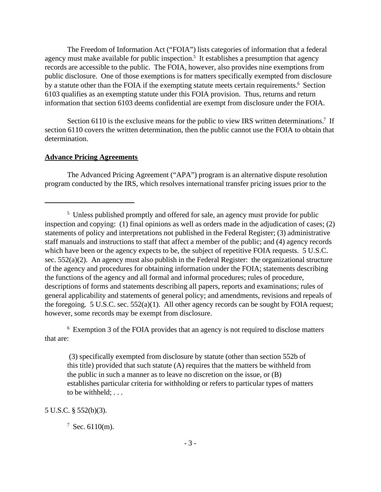The Freedom of Information Act ("FOIA") lists categories of information that a federal agency must make available for public inspection.<sup>5</sup> It establishes a presumption that agency records are accessible to the public. The FOIA, however, also provides nine exemptions from public disclosure. One of those exemptions is for matters specifically exempted from disclosure by a statute other than the FOIA if the exempting statute meets certain requirements.<sup>6</sup> Section 6103 qualifies as an exempting statute under this FOIA provision. Thus, returns and return information that section 6103 deems confidential are exempt from disclosure under the FOIA.

Section 6110 is the exclusive means for the public to view IRS written determinations.<sup>7</sup> If section 6110 covers the written determination, then the public cannot use the FOIA to obtain that determination.

### **Advance Pricing Agreements**

The Advanced Pricing Agreement ("APA") program is an alternative dispute resolution program conducted by the IRS, which resolves international transfer pricing issues prior to the

<sup>6</sup> Exemption 3 of the FOIA provides that an agency is not required to disclose matters that are:

 (3) specifically exempted from disclosure by statute (other than section 552b of this title) provided that such statute (A) requires that the matters be withheld from the public in such a manner as to leave no discretion on the issue, or (B) establishes particular criteria for withholding or refers to particular types of matters to be withheld; . . .

5 U.S.C. § 552(b)(3).

<sup>&</sup>lt;sup>5</sup> Unless published promptly and offered for sale, an agency must provide for public inspection and copying: (1) final opinions as well as orders made in the adjudication of cases; (2) statements of policy and interpretations not published in the Federal Register; (3) administrative staff manuals and instructions to staff that affect a member of the public; and (4) agency records which have been or the agency expects to be, the subject of repetitive FOIA requests. 5 U.S.C. sec. 552(a)(2). An agency must also publish in the Federal Register: the organizational structure of the agency and procedures for obtaining information under the FOIA; statements describing the functions of the agency and all formal and informal procedures; rules of procedure, descriptions of forms and statements describing all papers, reports and examinations; rules of general applicability and statements of general policy; and amendments, revisions and repeals of the foregoing. 5 U.S.C. sec. 552(a)(1). All other agency records can be sought by FOIA request; however, some records may be exempt from disclosure.

 $7$  Sec. 6110(m).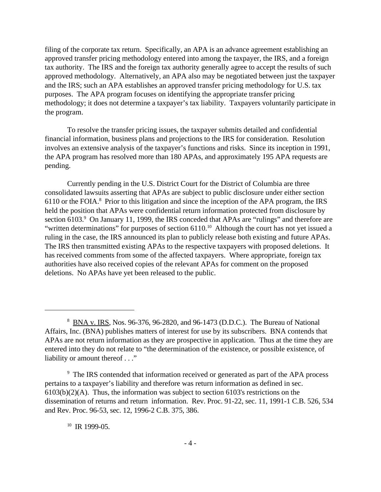filing of the corporate tax return. Specifically, an APA is an advance agreement establishing an approved transfer pricing methodology entered into among the taxpayer, the IRS, and a foreign tax authority. The IRS and the foreign tax authority generally agree to accept the results of such approved methodology. Alternatively, an APA also may be negotiated between just the taxpayer and the IRS; such an APA establishes an approved transfer pricing methodology for U.S. tax purposes. The APA program focuses on identifying the appropriate transfer pricing methodology; it does not determine a taxpayer's tax liability. Taxpayers voluntarily participate in the program.

To resolve the transfer pricing issues, the taxpayer submits detailed and confidential financial information, business plans and projections to the IRS for consideration. Resolution involves an extensive analysis of the taxpayer's functions and risks. Since its inception in 1991, the APA program has resolved more than 180 APAs, and approximately 195 APA requests are pending.

Currently pending in the U.S. District Court for the District of Columbia are three consolidated lawsuits asserting that APAs are subject to public disclosure under either section 6110 or the FOIA.<sup>8</sup> Prior to this litigation and since the inception of the APA program, the IRS held the position that APAs were confidential return information protected from disclosure by section 6103.<sup>9</sup> On January 11, 1999, the IRS conceded that APAs are "rulings" and therefore are "written determinations" for purposes of section 6110.<sup>10</sup> Although the court has not yet issued a ruling in the case, the IRS announced its plan to publicly release both existing and future APAs. The IRS then transmitted existing APAs to the respective taxpayers with proposed deletions. It has received comments from some of the affected taxpayers. Where appropriate, foreign tax authorities have also received copies of the relevant APAs for comment on the proposed deletions. No APAs have yet been released to the public.

### $10$  IR 1999-05.

<sup>&</sup>lt;sup>8</sup> BNA v. IRS, Nos. 96-376, 96-2820, and 96-1473 (D.D.C.). The Bureau of National Affairs, Inc. (BNA) publishes matters of interest for use by its subscribers. BNA contends that APAs are not return information as they are prospective in application. Thus at the time they are entered into they do not relate to "the determination of the existence, or possible existence, of liability or amount thereof . . ."

<sup>&</sup>lt;sup>9</sup> The IRS contended that information received or generated as part of the APA process pertains to a taxpayer's liability and therefore was return information as defined in sec. 6103(b)(2)(A). Thus, the information was subject to section 6103's restrictions on the dissemination of returns and return information. Rev. Proc. 91-22, sec. 11, 1991-1 C.B. 526, 534 and Rev. Proc. 96-53, sec. 12, 1996-2 C.B. 375, 386.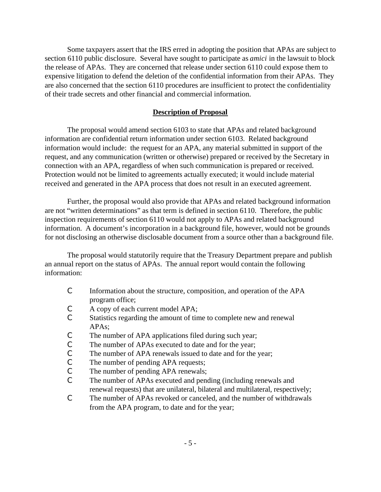Some taxpayers assert that the IRS erred in adopting the position that APAs are subject to section 6110 public disclosure. Several have sought to participate as *amici* in the lawsuit to block the release of APAs. They are concerned that release under section 6110 could expose them to expensive litigation to defend the deletion of the confidential information from their APAs. They are also concerned that the section 6110 procedures are insufficient to protect the confidentiality of their trade secrets and other financial and commercial information.

### **Description of Proposal**

The proposal would amend section 6103 to state that APAs and related background information are confidential return information under section 6103. Related background information would include: the request for an APA, any material submitted in support of the request, and any communication (written or otherwise) prepared or received by the Secretary in connection with an APA, regardless of when such communication is prepared or received. Protection would not be limited to agreements actually executed; it would include material received and generated in the APA process that does not result in an executed agreement.

Further, the proposal would also provide that APAs and related background information are not "written determinations" as that term is defined in section 6110. Therefore, the public inspection requirements of section 6110 would not apply to APAs and related background information. A document's incorporation in a background file, however, would not be grounds for not disclosing an otherwise disclosable document from a source other than a background file.

The proposal would statutorily require that the Treasury Department prepare and publish an annual report on the status of APAs. The annual report would contain the following information:

- C Information about the structure, composition, and operation of the APA program office;
- C A copy of each current model APA;
- C Statistics regarding the amount of time to complete new and renewal APAs;
- C The number of APA applications filed during such year;
- C The number of APAs executed to date and for the year;
- C The number of APA renewals issued to date and for the year;
- C The number of pending APA requests;
- C The number of pending APA renewals;
- C The number of APAs executed and pending (including renewals and renewal requests) that are unilateral, bilateral and multilateral, respectively;
- C The number of APAs revoked or canceled, and the number of withdrawals from the APA program, to date and for the year;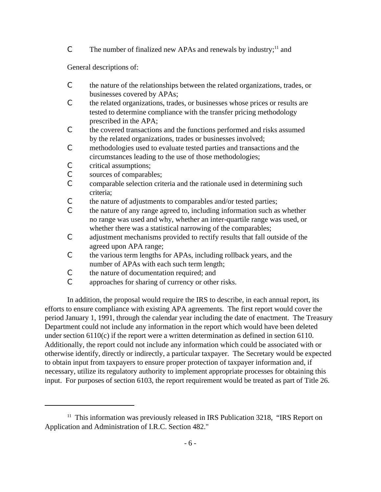C The number of finalized new APAs and renewals by industry;<sup>11</sup> and

General descriptions of:

- C the nature of the relationships between the related organizations, trades, or businesses covered by APAs;
- C the related organizations, trades, or businesses whose prices or results are tested to determine compliance with the transfer pricing methodology prescribed in the APA;
- C the covered transactions and the functions performed and risks assumed by the related organizations, trades or businesses involved;
- C methodologies used to evaluate tested parties and transactions and the circumstances leading to the use of those methodologies;
- C critical assumptions;
- C sources of comparables;
- C comparable selection criteria and the rationale used in determining such criteria;
- C the nature of adjustments to comparables and/or tested parties;
- C the nature of any range agreed to, including information such as whether no range was used and why, whether an inter-quartile range was used, or whether there was a statistical narrowing of the comparables;
- C adjustment mechanisms provided to rectify results that fall outside of the agreed upon APA range;
- C the various term lengths for APAs, including rollback years, and the number of APAs with each such term length;
- C the nature of documentation required; and
- C approaches for sharing of currency or other risks.

In addition, the proposal would require the IRS to describe, in each annual report, its efforts to ensure compliance with existing APA agreements. The first report would cover the period January 1, 1991, through the calendar year including the date of enactment. The Treasury Department could not include any information in the report which would have been deleted under section 6110(c) if the report were a written determination as defined in section 6110. Additionally, the report could not include any information which could be associated with or otherwise identify, directly or indirectly, a particular taxpayer. The Secretary would be expected to obtain input from taxpayers to ensure proper protection of taxpayer information and, if necessary, utilize its regulatory authority to implement appropriate processes for obtaining this input. For purposes of section 6103, the report requirement would be treated as part of Title 26.

 $11$  This information was previously released in IRS Publication 3218, "IRS Report on Application and Administration of I.R.C. Section 482."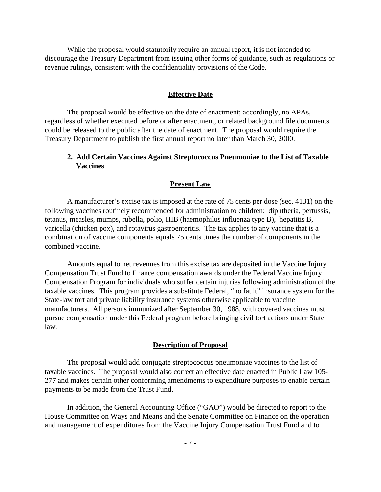While the proposal would statutorily require an annual report, it is not intended to discourage the Treasury Department from issuing other forms of guidance, such as regulations or revenue rulings, consistent with the confidentiality provisions of the Code.

#### **Effective Date**

The proposal would be effective on the date of enactment; accordingly, no APAs, regardless of whether executed before or after enactment, or related background file documents could be released to the public after the date of enactment. The proposal would require the Treasury Department to publish the first annual report no later than March 30, 2000.

### **2. Add Certain Vaccines Against Streptococcus Pneumoniae to the List of Taxable Vaccines**

### **Present Law**

A manufacturer's excise tax is imposed at the rate of 75 cents per dose (sec. 4131) on the following vaccines routinely recommended for administration to children: diphtheria, pertussis, tetanus, measles, mumps, rubella, polio, HIB (haemophilus influenza type B), hepatitis B, varicella (chicken pox), and rotavirus gastroenteritis. The tax applies to any vaccine that is a combination of vaccine components equals 75 cents times the number of components in the combined vaccine.

Amounts equal to net revenues from this excise tax are deposited in the Vaccine Injury Compensation Trust Fund to finance compensation awards under the Federal Vaccine Injury Compensation Program for individuals who suffer certain injuries following administration of the taxable vaccines. This program provides a substitute Federal, "no fault" insurance system for the State-law tort and private liability insurance systems otherwise applicable to vaccine manufacturers. All persons immunized after September 30, 1988, with covered vaccines must pursue compensation under this Federal program before bringing civil tort actions under State law.

### **Description of Proposal**

The proposal would add conjugate streptococcus pneumoniae vaccines to the list of taxable vaccines. The proposal would also correct an effective date enacted in Public Law 105- 277 and makes certain other conforming amendments to expenditure purposes to enable certain payments to be made from the Trust Fund.

In addition, the General Accounting Office ("GAO") would be directed to report to the House Committee on Ways and Means and the Senate Committee on Finance on the operation and management of expenditures from the Vaccine Injury Compensation Trust Fund and to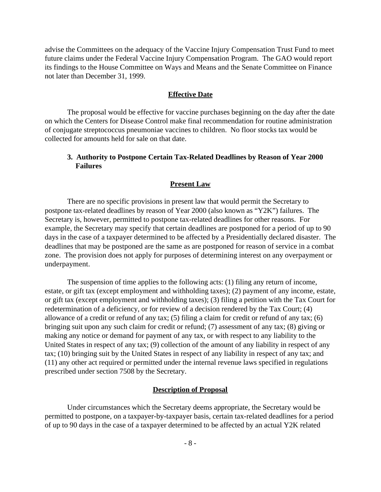advise the Committees on the adequacy of the Vaccine Injury Compensation Trust Fund to meet future claims under the Federal Vaccine Injury Compensation Program. The GAO would report its findings to the House Committee on Ways and Means and the Senate Committee on Finance not later than December 31, 1999.

#### **Effective Date**

The proposal would be effective for vaccine purchases beginning on the day after the date on which the Centers for Disease Control make final recommendation for routine administration of conjugate streptococcus pneumoniae vaccines to children. No floor stocks tax would be collected for amounts held for sale on that date.

### **3. Authority to Postpone Certain Tax-Related Deadlines by Reason of Year 2000 Failures**

### **Present Law**

There are no specific provisions in present law that would permit the Secretary to postpone tax-related deadlines by reason of Year 2000 (also known as "Y2K") failures. The Secretary is, however, permitted to postpone tax-related deadlines for other reasons. For example, the Secretary may specify that certain deadlines are postponed for a period of up to 90 days in the case of a taxpayer determined to be affected by a Presidentially declared disaster. The deadlines that may be postponed are the same as are postponed for reason of service in a combat zone. The provision does not apply for purposes of determining interest on any overpayment or underpayment.

The suspension of time applies to the following acts: (1) filing any return of income, estate, or gift tax (except employment and withholding taxes); (2) payment of any income, estate, or gift tax (except employment and withholding taxes); (3) filing a petition with the Tax Court for redetermination of a deficiency, or for review of a decision rendered by the Tax Court; (4) allowance of a credit or refund of any tax; (5) filing a claim for credit or refund of any tax; (6) bringing suit upon any such claim for credit or refund; (7) assessment of any tax; (8) giving or making any notice or demand for payment of any tax, or with respect to any liability to the United States in respect of any tax; (9) collection of the amount of any liability in respect of any tax; (10) bringing suit by the United States in respect of any liability in respect of any tax; and (11) any other act required or permitted under the internal revenue laws specified in regulations prescribed under section 7508 by the Secretary.

#### **Description of Proposal**

Under circumstances which the Secretary deems appropriate, the Secretary would be permitted to postpone, on a taxpayer-by-taxpayer basis, certain tax-related deadlines for a period of up to 90 days in the case of a taxpayer determined to be affected by an actual Y2K related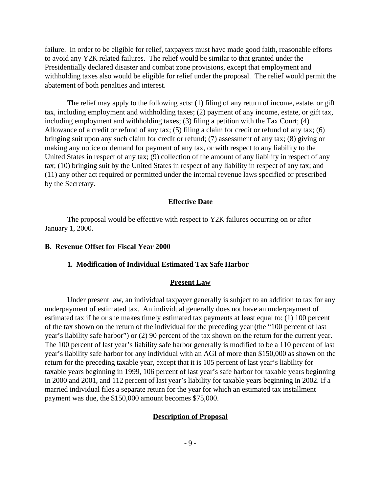failure. In order to be eligible for relief, taxpayers must have made good faith, reasonable efforts to avoid any Y2K related failures. The relief would be similar to that granted under the Presidentially declared disaster and combat zone provisions, except that employment and withholding taxes also would be eligible for relief under the proposal. The relief would permit the abatement of both penalties and interest.

The relief may apply to the following acts: (1) filing of any return of income, estate, or gift tax, including employment and withholding taxes; (2) payment of any income, estate, or gift tax, including employment and withholding taxes; (3) filing a petition with the Tax Court; (4) Allowance of a credit or refund of any tax; (5) filing a claim for credit or refund of any tax; (6) bringing suit upon any such claim for credit or refund; (7) assessment of any tax; (8) giving or making any notice or demand for payment of any tax, or with respect to any liability to the United States in respect of any tax; (9) collection of the amount of any liability in respect of any tax; (10) bringing suit by the United States in respect of any liability in respect of any tax; and (11) any other act required or permitted under the internal revenue laws specified or prescribed by the Secretary.

### **Effective Date**

The proposal would be effective with respect to Y2K failures occurring on or after January 1, 2000.

### **B. Revenue Offset for Fiscal Year 2000**

#### **1. Modification of Individual Estimated Tax Safe Harbor**

#### **Present Law**

Under present law, an individual taxpayer generally is subject to an addition to tax for any underpayment of estimated tax. An individual generally does not have an underpayment of estimated tax if he or she makes timely estimated tax payments at least equal to: (1) 100 percent of the tax shown on the return of the individual for the preceding year (the "100 percent of last year's liability safe harbor") or (2) 90 percent of the tax shown on the return for the current year. The 100 percent of last year's liability safe harbor generally is modified to be a 110 percent of last year's liability safe harbor for any individual with an AGI of more than \$150,000 as shown on the return for the preceding taxable year, except that it is 105 percent of last year's liability for taxable years beginning in 1999, 106 percent of last year's safe harbor for taxable years beginning in 2000 and 2001, and 112 percent of last year's liability for taxable years beginning in 2002. If a married individual files a separate return for the year for which an estimated tax installment payment was due, the \$150,000 amount becomes \$75,000.

### **Description of Proposal**